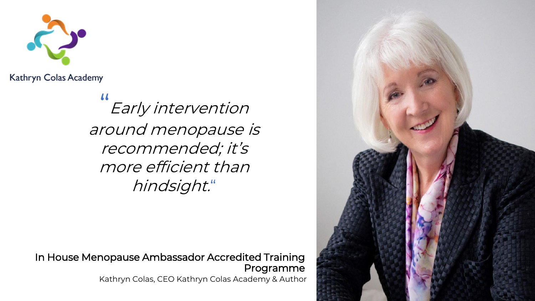

Kathryn Colas Academy

#### $\sqrt{2}$ Early intervention around menopause is recommended; it's more efficient than hindsight."

In House Menopause Ambassador Accredited Training Programme Kathryn Colas, CEO Kathryn Colas Academy & Author

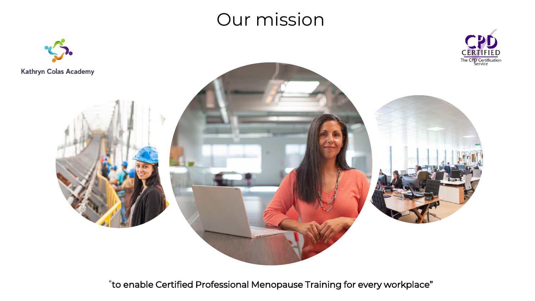### Our mission



"to enable Certified Professional Menopause Training for every workplace"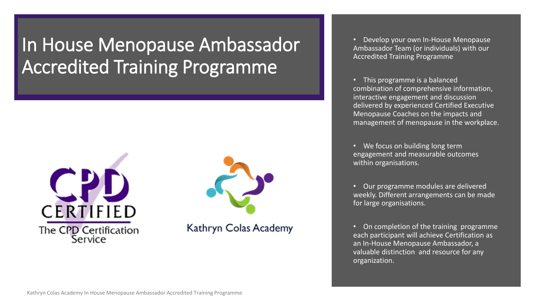## In House Menopause Ambassador Accredited Training Programme





Kathryn Colas Academy

• Develop your own In-House Menopause Ambassador Team (or individuals) with our Accredited Training Programme

• This programme is a balanced combination of comprehensive information, interactive engagement and discussion delivered by experienced Certified Executive Menopause Coaches on the impacts and management of menopause in the workplace.

• We focus on building long term engagement and measurable outcomes within organisations.

• Our programme modules are delivered weekly. Different arrangements can be made for large organisations.

• On completion of the training programme each participant will achieve Certification as an In-House Menopause Ambassador, a valuable distinction and resource for any organization.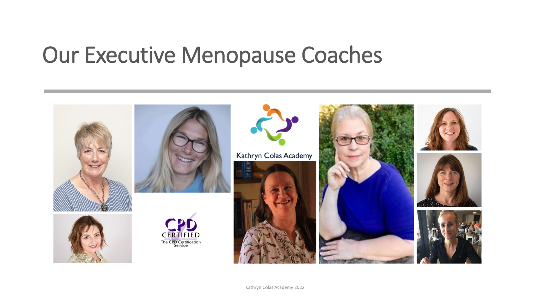# Our Executive Menopause Coaches

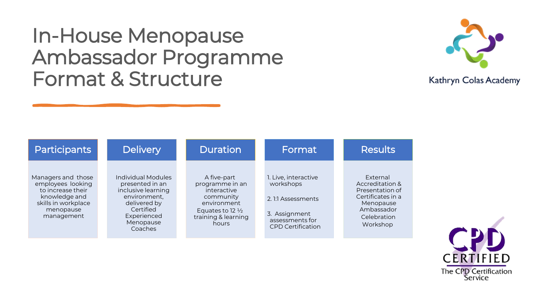## In-House Menopause Ambassador Programme Format & Structure



| <b>Participants</b>                                                                                                             | <b>Delivery</b>                                                                                                                                        | <b>Duration</b>                                                                                                                          | Format                                                                                                                  | <b>Results</b>                                                                                                            |
|---------------------------------------------------------------------------------------------------------------------------------|--------------------------------------------------------------------------------------------------------------------------------------------------------|------------------------------------------------------------------------------------------------------------------------------------------|-------------------------------------------------------------------------------------------------------------------------|---------------------------------------------------------------------------------------------------------------------------|
| Managers and those<br>employees looking<br>to increase their<br>knowledge and<br>skills in workplace<br>menopause<br>management | <b>Individual Modules</b><br>presented in an<br>inclusive learning<br>environment,<br>delivered by<br>Certified<br>Experienced<br>Menopause<br>Coaches | A five-part<br>programme in an<br>interactive<br>community<br>environment<br>Equates to 12 $\frac{1}{2}$<br>training & learning<br>hours | 1. Live, interactive<br>workshops<br>2. 1:1 Assessments<br>3. Assignment<br>assessments for<br><b>CPD</b> Certification | External<br>Accreditation &<br>Presentation of<br>Certificates in a<br>Menopause<br>Ambassador<br>Celebration<br>Workshop |

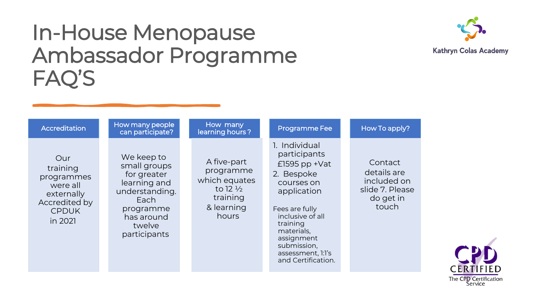## In-House Menopause Ambassador Programme FAQ'S



| Accreditation                                                                                       | How many people<br>can participate?                                                                                                      | How many<br>learning hours?                                                                         | <b>Programme Fee</b>                                                                                                                                                                                                                | How To apply?                                                                  |
|-----------------------------------------------------------------------------------------------------|------------------------------------------------------------------------------------------------------------------------------------------|-----------------------------------------------------------------------------------------------------|-------------------------------------------------------------------------------------------------------------------------------------------------------------------------------------------------------------------------------------|--------------------------------------------------------------------------------|
| Our<br>training<br>programmes<br>were all<br>externally<br>Accredited by<br><b>CPDUK</b><br>in 2021 | We keep to<br>small groups<br>for greater<br>learning and<br>understanding.<br>Each<br>programme<br>has around<br>twelve<br>participants | A five-part<br>programme<br>which equates<br>to 12 $\frac{1}{2}$<br>training<br>& learning<br>hours | 1. Individual<br>participants<br>$£1595$ pp +Vat<br>2. Bespoke<br>courses on<br>application<br>Fees are fully<br>inclusive of all<br>training<br>materials,<br>assignment<br>submission,<br>assessment, l:l's<br>and Certification. | Contact<br>details are<br>included on<br>slide 7. Please<br>do get in<br>touch |